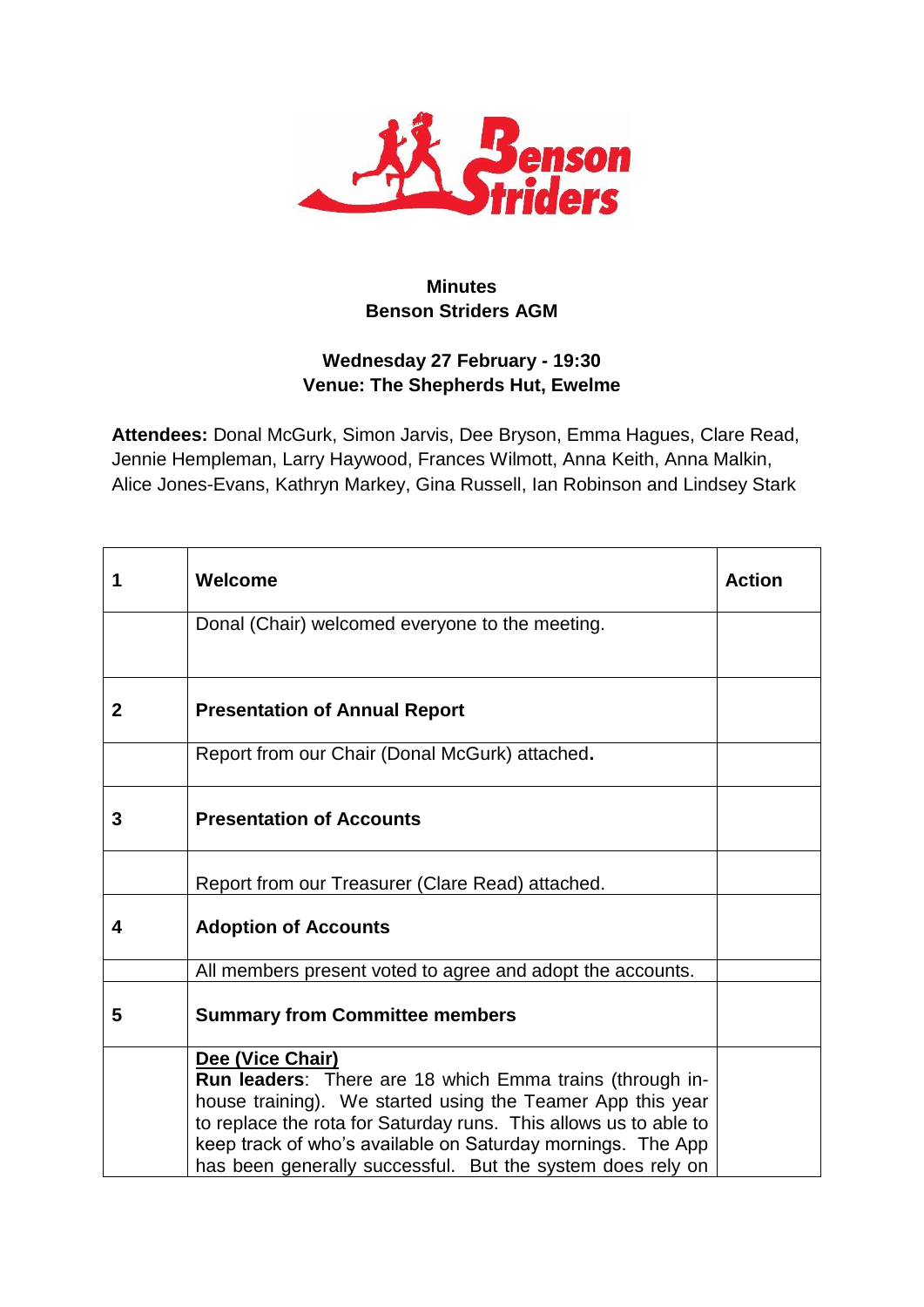

# **Minutes Benson Striders AGM**

# **Wednesday 27 February - 19:30 Venue: The Shepherds Hut, Ewelme**

**Attendees:** Donal McGurk, Simon Jarvis, Dee Bryson, Emma Hagues, Clare Read, Jennie Hempleman, Larry Haywood, Frances Wilmott, Anna Keith, Anna Malkin, Alice Jones-Evans, Kathryn Markey, Gina Russell, Ian Robinson and Lindsey Stark

| 1            | Welcome                                                                                                                                                                                                                                                                                                                                     | <b>Action</b> |
|--------------|---------------------------------------------------------------------------------------------------------------------------------------------------------------------------------------------------------------------------------------------------------------------------------------------------------------------------------------------|---------------|
|              | Donal (Chair) welcomed everyone to the meeting.                                                                                                                                                                                                                                                                                             |               |
| $\mathbf{2}$ | <b>Presentation of Annual Report</b>                                                                                                                                                                                                                                                                                                        |               |
|              | Report from our Chair (Donal McGurk) attached.                                                                                                                                                                                                                                                                                              |               |
| 3            | <b>Presentation of Accounts</b>                                                                                                                                                                                                                                                                                                             |               |
|              | Report from our Treasurer (Clare Read) attached.                                                                                                                                                                                                                                                                                            |               |
| 4            | <b>Adoption of Accounts</b>                                                                                                                                                                                                                                                                                                                 |               |
|              | All members present voted to agree and adopt the accounts.                                                                                                                                                                                                                                                                                  |               |
| 5            | <b>Summary from Committee members</b>                                                                                                                                                                                                                                                                                                       |               |
|              | Dee (Vice Chair)<br>Run leaders: There are 18 which Emma trains (through in-<br>house training). We started using the Teamer App this year<br>to replace the rota for Saturday runs. This allows us to able to<br>keep track of who's available on Saturday mornings. The App<br>has been generally successful. But the system does rely on |               |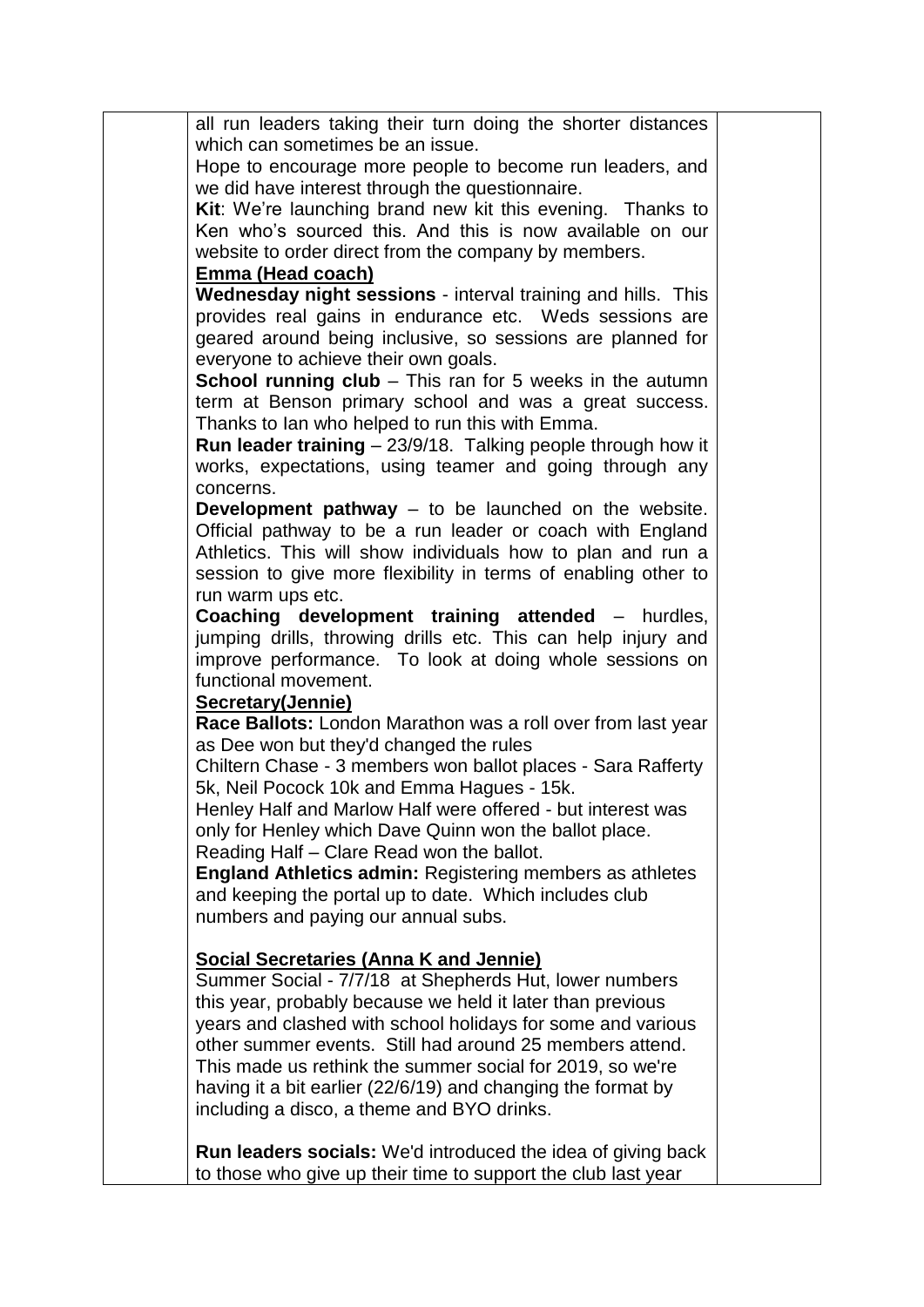| all run leaders taking their turn doing the shorter distances                   |  |
|---------------------------------------------------------------------------------|--|
| which can sometimes be an issue.                                                |  |
|                                                                                 |  |
| Hope to encourage more people to become run leaders, and                        |  |
| we did have interest through the questionnaire.                                 |  |
| Kit: We're launching brand new kit this evening. Thanks to                      |  |
| Ken who's sourced this. And this is now available on our                        |  |
| website to order direct from the company by members.                            |  |
| Emma (Head coach)                                                               |  |
| Wednesday night sessions - interval training and hills. This                    |  |
| provides real gains in endurance etc. Weds sessions are                         |  |
| geared around being inclusive, so sessions are planned for                      |  |
| everyone to achieve their own goals.                                            |  |
| <b>School running club</b> $-$ This ran for 5 weeks in the autumn               |  |
| term at Benson primary school and was a great success.                          |  |
| Thanks to lan who helped to run this with Emma.                                 |  |
| Run leader training - 23/9/18. Talking people through how it                    |  |
| works, expectations, using teamer and going through any                         |  |
| concerns.                                                                       |  |
| <b>Development pathway</b> $-$ to be launched on the website.                   |  |
| Official pathway to be a run leader or coach with England                       |  |
| Athletics. This will show individuals how to plan and run a                     |  |
| session to give more flexibility in terms of enabling other to                  |  |
| run warm ups etc.                                                               |  |
| <b>Coaching development training attended - hurdles,</b>                        |  |
| jumping drills, throwing drills etc. This can help injury and                   |  |
|                                                                                 |  |
| improve performance. To look at doing whole sessions on<br>functional movement. |  |
|                                                                                 |  |
| <b>Secretary(Jennie)</b>                                                        |  |
| Race Ballots: London Marathon was a roll over from last year                    |  |
| as Dee won but they'd changed the rules                                         |  |
| Chiltern Chase - 3 members won ballot places - Sara Rafferty                    |  |
| 5k, Neil Pocock 10k and Emma Hagues - 15k.                                      |  |
| Henley Half and Marlow Half were offered - but interest was                     |  |
| only for Henley which Dave Quinn won the ballot place.                          |  |
| Reading Half - Clare Read won the ballot.                                       |  |
| <b>England Athletics admin: Registering members as athletes</b>                 |  |
| and keeping the portal up to date. Which includes club                          |  |
| numbers and paying our annual subs.                                             |  |
|                                                                                 |  |
| <b>Social Secretaries (Anna K and Jennie)</b>                                   |  |
| Summer Social - 7/7/18 at Shepherds Hut, lower numbers                          |  |
| this year, probably because we held it later than previous                      |  |
| years and clashed with school holidays for some and various                     |  |
| other summer events. Still had around 25 members attend.                        |  |
| This made us rethink the summer social for 2019, so we're                       |  |
| having it a bit earlier (22/6/19) and changing the format by                    |  |
| including a disco, a theme and BYO drinks.                                      |  |
|                                                                                 |  |
| <b>Run leaders socials:</b> We'd introduced the idea of giving back             |  |
| to those who give up their time to support the club last year                   |  |
|                                                                                 |  |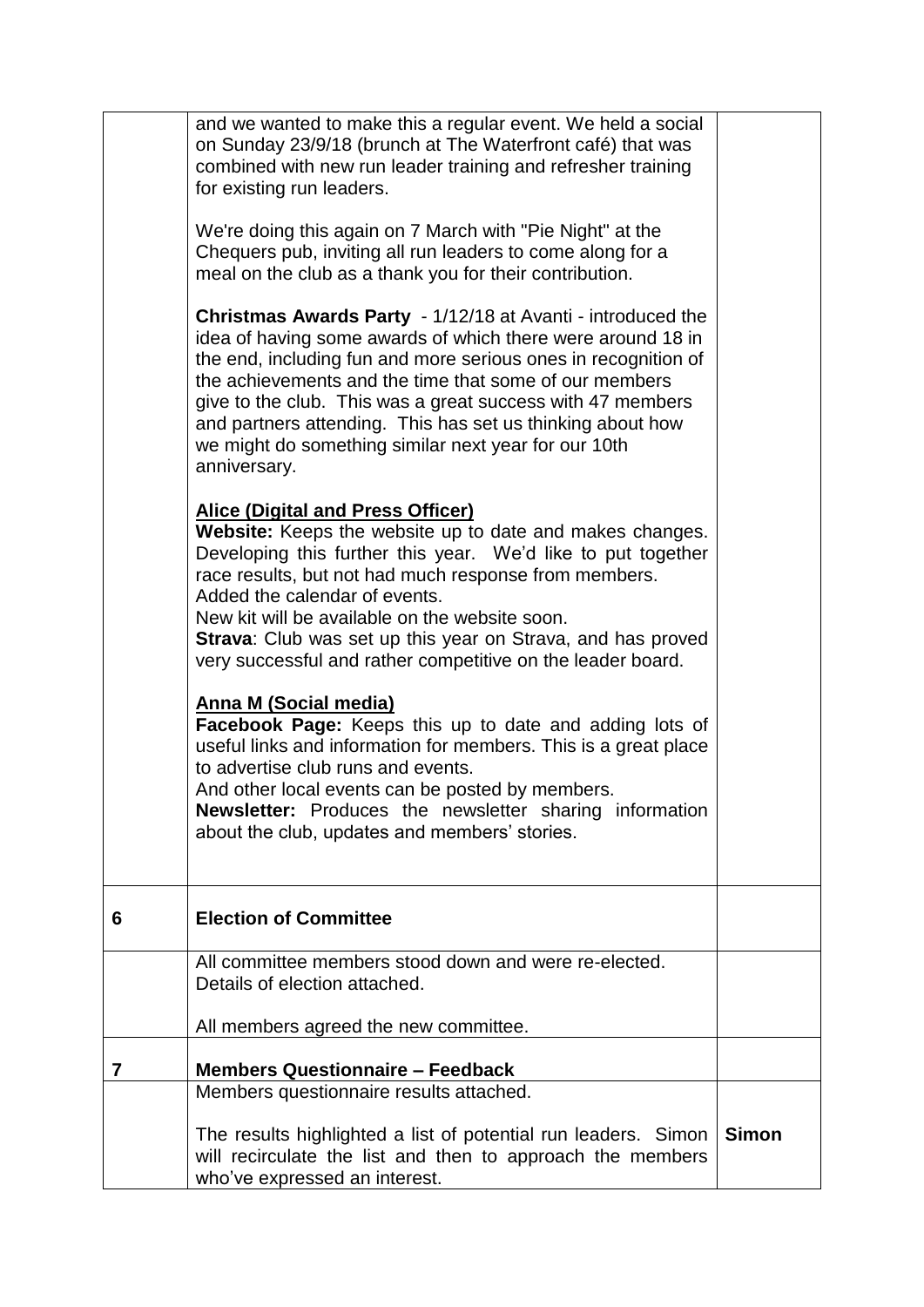|   | and we wanted to make this a regular event. We held a social<br>on Sunday 23/9/18 (brunch at The Waterfront café) that was<br>combined with new run leader training and refresher training<br>for existing run leaders.<br>We're doing this again on 7 March with "Pie Night" at the<br>Chequers pub, inviting all run leaders to come along for a<br>meal on the club as a thank you for their contribution.<br>Christmas Awards Party - 1/12/18 at Avanti - introduced the<br>idea of having some awards of which there were around 18 in<br>the end, including fun and more serious ones in recognition of<br>the achievements and the time that some of our members<br>give to the club. This was a great success with 47 members<br>and partners attending. This has set us thinking about how<br>we might do something similar next year for our 10th<br>anniversary.<br><b>Alice (Digital and Press Officer)</b> |              |
|---|-------------------------------------------------------------------------------------------------------------------------------------------------------------------------------------------------------------------------------------------------------------------------------------------------------------------------------------------------------------------------------------------------------------------------------------------------------------------------------------------------------------------------------------------------------------------------------------------------------------------------------------------------------------------------------------------------------------------------------------------------------------------------------------------------------------------------------------------------------------------------------------------------------------------------|--------------|
|   | Website: Keeps the website up to date and makes changes.<br>Developing this further this year. We'd like to put together<br>race results, but not had much response from members.<br>Added the calendar of events.<br>New kit will be available on the website soon.<br>Strava: Club was set up this year on Strava, and has proved<br>very successful and rather competitive on the leader board.                                                                                                                                                                                                                                                                                                                                                                                                                                                                                                                      |              |
|   | <b>Anna M (Social media)</b><br>Facebook Page: Keeps this up to date and adding lots of<br>useful links and information for members. This is a great place<br>to advertise club runs and events.<br>And other local events can be posted by members.<br><b>Newsletter:</b> Produces the newsletter sharing information<br>about the club, updates and members' stories.                                                                                                                                                                                                                                                                                                                                                                                                                                                                                                                                                 |              |
| 6 | <b>Election of Committee</b>                                                                                                                                                                                                                                                                                                                                                                                                                                                                                                                                                                                                                                                                                                                                                                                                                                                                                            |              |
|   | All committee members stood down and were re-elected.<br>Details of election attached.                                                                                                                                                                                                                                                                                                                                                                                                                                                                                                                                                                                                                                                                                                                                                                                                                                  |              |
|   | All members agreed the new committee.                                                                                                                                                                                                                                                                                                                                                                                                                                                                                                                                                                                                                                                                                                                                                                                                                                                                                   |              |
| 7 | <b>Members Questionnaire - Feedback</b>                                                                                                                                                                                                                                                                                                                                                                                                                                                                                                                                                                                                                                                                                                                                                                                                                                                                                 |              |
|   | Members questionnaire results attached.                                                                                                                                                                                                                                                                                                                                                                                                                                                                                                                                                                                                                                                                                                                                                                                                                                                                                 |              |
|   | The results highlighted a list of potential run leaders. Simon<br>will recirculate the list and then to approach the members<br>who've expressed an interest.                                                                                                                                                                                                                                                                                                                                                                                                                                                                                                                                                                                                                                                                                                                                                           | <b>Simon</b> |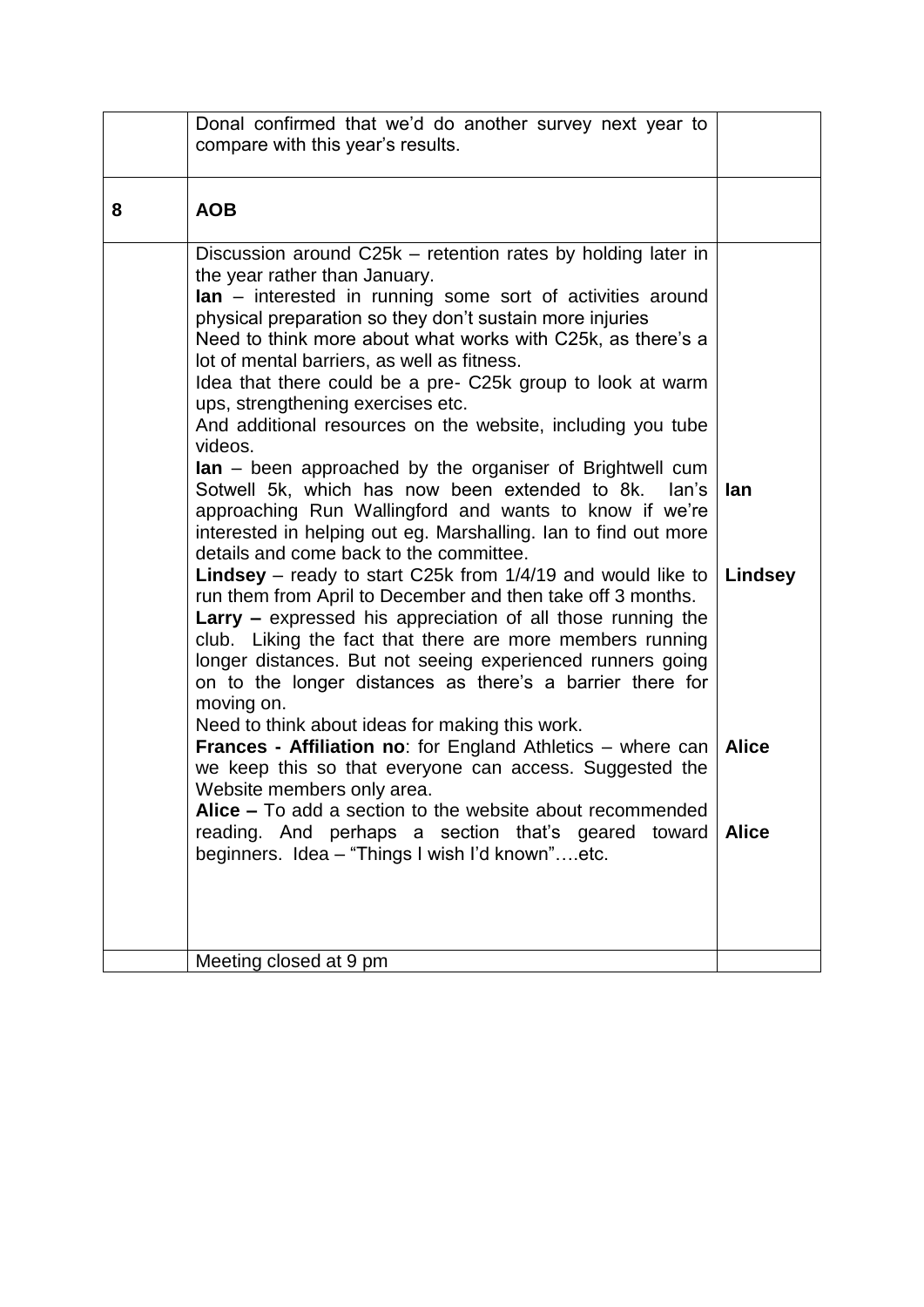|   | Donal confirmed that we'd do another survey next year to<br>compare with this year's results.                                                                                                                                                                                                                                                                                                                                                                                                                                                                                                                                                                                                                                                                                                                                                                                                                                                                                                                                                                                                                                                                                                                                                                                                        |                |
|---|------------------------------------------------------------------------------------------------------------------------------------------------------------------------------------------------------------------------------------------------------------------------------------------------------------------------------------------------------------------------------------------------------------------------------------------------------------------------------------------------------------------------------------------------------------------------------------------------------------------------------------------------------------------------------------------------------------------------------------------------------------------------------------------------------------------------------------------------------------------------------------------------------------------------------------------------------------------------------------------------------------------------------------------------------------------------------------------------------------------------------------------------------------------------------------------------------------------------------------------------------------------------------------------------------|----------------|
| 8 | <b>AOB</b>                                                                                                                                                                                                                                                                                                                                                                                                                                                                                                                                                                                                                                                                                                                                                                                                                                                                                                                                                                                                                                                                                                                                                                                                                                                                                           |                |
|   | Discussion around C25k – retention rates by holding later in<br>the year rather than January.<br><b>lan</b> – interested in running some sort of activities around<br>physical preparation so they don't sustain more injuries<br>Need to think more about what works with C25k, as there's a<br>lot of mental barriers, as well as fitness.<br>Idea that there could be a pre- C25k group to look at warm<br>ups, strengthening exercises etc.<br>And additional resources on the website, including you tube<br>videos.<br>$\text{lan}$ – been approached by the organiser of Brightwell cum<br>Sotwell 5k, which has now been extended to 8k. Ian's<br>approaching Run Wallingford and wants to know if we're<br>interested in helping out eg. Marshalling. Ian to find out more<br>details and come back to the committee.<br><b>Lindsey</b> – ready to start C25k from $1/4/19$ and would like to<br>run them from April to December and then take off 3 months.<br><b>Larry</b> – expressed his appreciation of all those running the<br>club. Liking the fact that there are more members running<br>longer distances. But not seeing experienced runners going<br>on to the longer distances as there's a barrier there for<br>moving on.<br>Need to think about ideas for making this work. | lan<br>Lindsey |
|   | <b>Frances - Affiliation no:</b> for England Athletics $-$ where can<br>we keep this so that everyone can access. Suggested the<br>Website members only area.                                                                                                                                                                                                                                                                                                                                                                                                                                                                                                                                                                                                                                                                                                                                                                                                                                                                                                                                                                                                                                                                                                                                        | <b>Alice</b>   |
|   | Alice - To add a section to the website about recommended<br>reading. And perhaps a section that's geared toward<br>beginners. Idea - "Things I wish I'd known"etc.                                                                                                                                                                                                                                                                                                                                                                                                                                                                                                                                                                                                                                                                                                                                                                                                                                                                                                                                                                                                                                                                                                                                  | <b>Alice</b>   |
|   |                                                                                                                                                                                                                                                                                                                                                                                                                                                                                                                                                                                                                                                                                                                                                                                                                                                                                                                                                                                                                                                                                                                                                                                                                                                                                                      |                |
|   | Meeting closed at 9 pm                                                                                                                                                                                                                                                                                                                                                                                                                                                                                                                                                                                                                                                                                                                                                                                                                                                                                                                                                                                                                                                                                                                                                                                                                                                                               |                |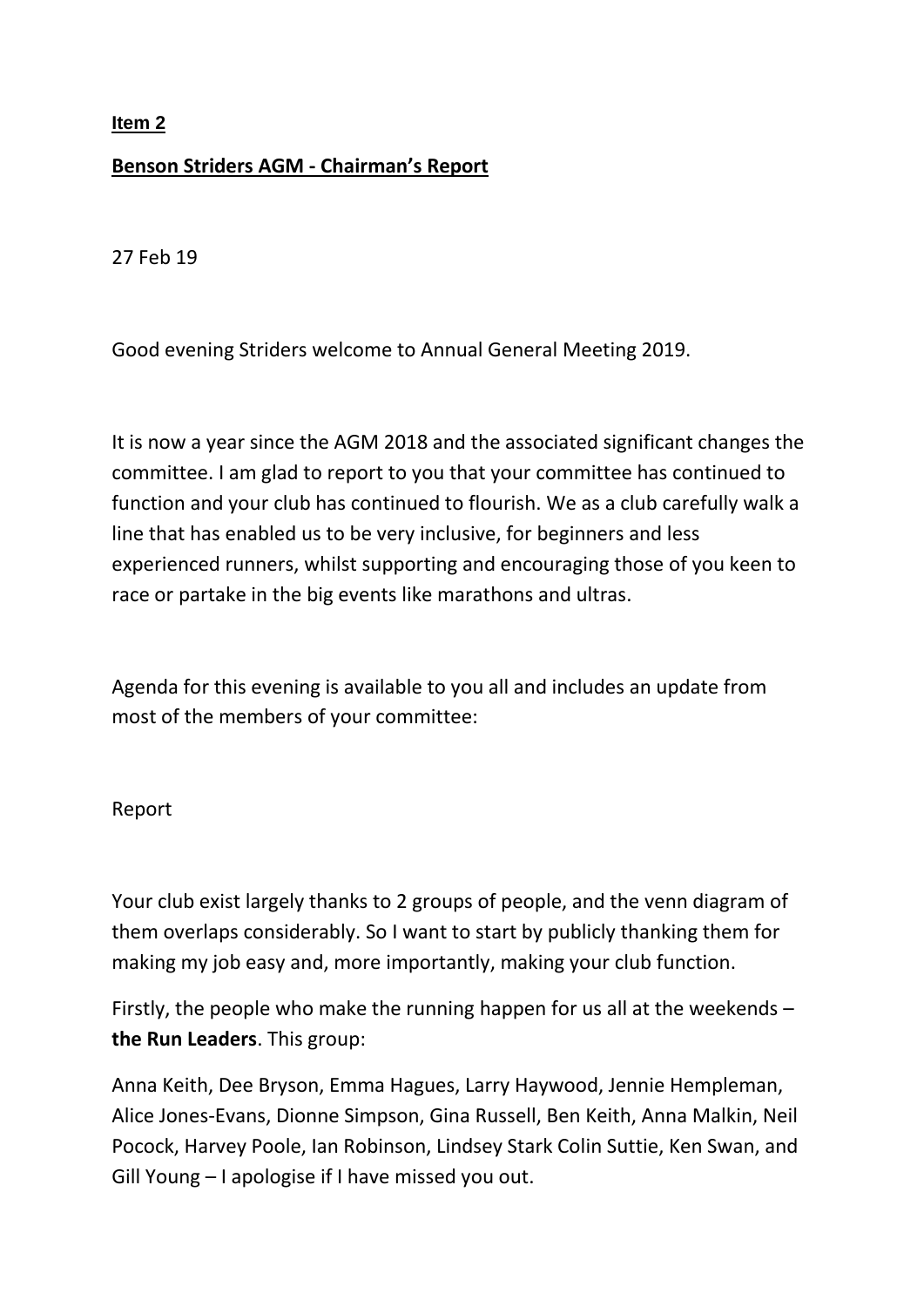# **Benson Striders AGM - Chairman's Report**

27 Feb 19

Good evening Striders welcome to Annual General Meeting 2019.

It is now a year since the AGM 2018 and the associated significant changes the committee. I am glad to report to you that your committee has continued to function and your club has continued to flourish. We as a club carefully walk a line that has enabled us to be very inclusive, for beginners and less experienced runners, whilst supporting and encouraging those of you keen to race or partake in the big events like marathons and ultras.

Agenda for this evening is available to you all and includes an update from most of the members of your committee:

# Report

Your club exist largely thanks to 2 groups of people, and the venn diagram of them overlaps considerably. So I want to start by publicly thanking them for making my job easy and, more importantly, making your club function.

Firstly, the people who make the running happen for us all at the weekends – **the Run Leaders**. This group:

Anna Keith, Dee Bryson, Emma Hagues, Larry Haywood, Jennie Hempleman, Alice Jones-Evans, Dionne Simpson, Gina Russell, Ben Keith, Anna Malkin, Neil Pocock, Harvey Poole, Ian Robinson, Lindsey Stark Colin Suttie, Ken Swan, and Gill Young – I apologise if I have missed you out.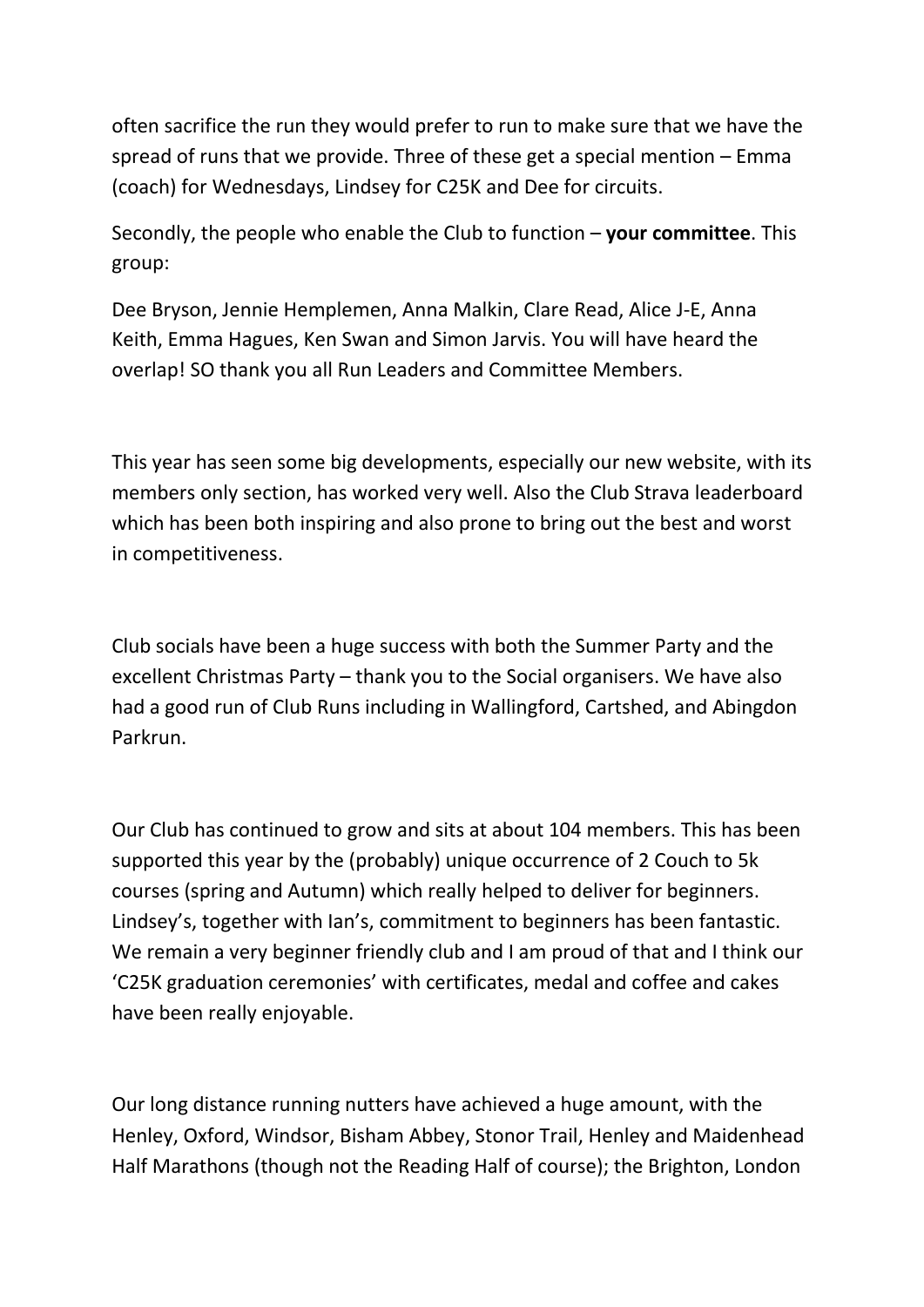often sacrifice the run they would prefer to run to make sure that we have the spread of runs that we provide. Three of these get a special mention – Emma (coach) for Wednesdays, Lindsey for C25K and Dee for circuits.

Secondly, the people who enable the Club to function – **your committee**. This group:

Dee Bryson, Jennie Hemplemen, Anna Malkin, Clare Read, Alice J-E, Anna Keith, Emma Hagues, Ken Swan and Simon Jarvis. You will have heard the overlap! SO thank you all Run Leaders and Committee Members.

This year has seen some big developments, especially our new website, with its members only section, has worked very well. Also the Club Strava leaderboard which has been both inspiring and also prone to bring out the best and worst in competitiveness.

Club socials have been a huge success with both the Summer Party and the excellent Christmas Party – thank you to the Social organisers. We have also had a good run of Club Runs including in Wallingford, Cartshed, and Abingdon Parkrun.

Our Club has continued to grow and sits at about 104 members. This has been supported this year by the (probably) unique occurrence of 2 Couch to 5k courses (spring and Autumn) which really helped to deliver for beginners. Lindsey's, together with Ian's, commitment to beginners has been fantastic. We remain a very beginner friendly club and I am proud of that and I think our 'C25K graduation ceremonies' with certificates, medal and coffee and cakes have been really enjoyable.

Our long distance running nutters have achieved a huge amount, with the Henley, Oxford, Windsor, Bisham Abbey, Stonor Trail, Henley and Maidenhead Half Marathons (though not the Reading Half of course); the Brighton, London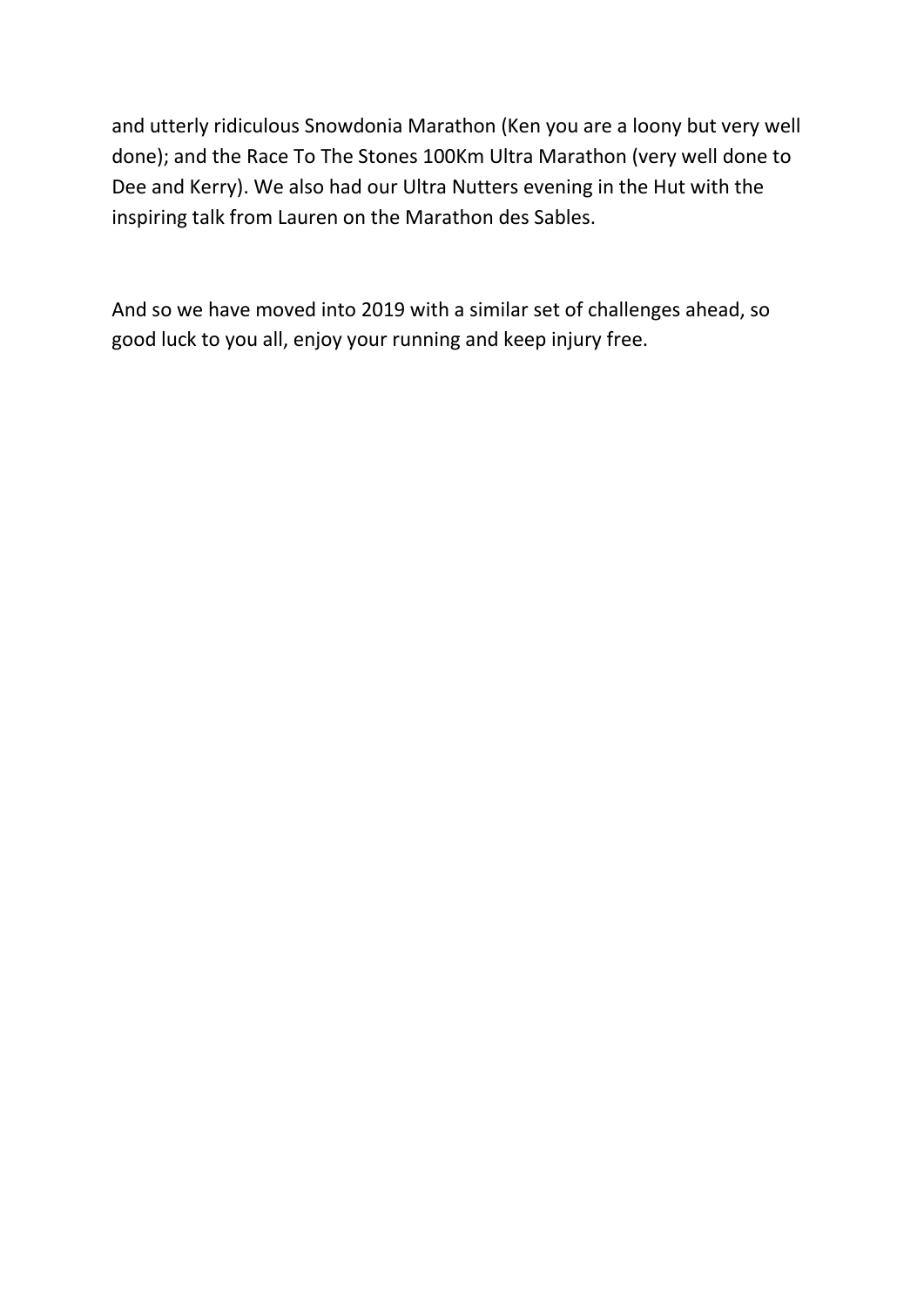and utterly ridiculous Snowdonia Marathon (Ken you are a loony but very well done); and the Race To The Stones 100Km Ultra Marathon (very well done to Dee and Kerry). We also had our Ultra Nutters evening in the Hut with the inspiring talk from Lauren on the Marathon des Sables.

And so we have moved into 2019 with a similar set of challenges ahead, so good luck to you all, enjoy your running and keep injury free.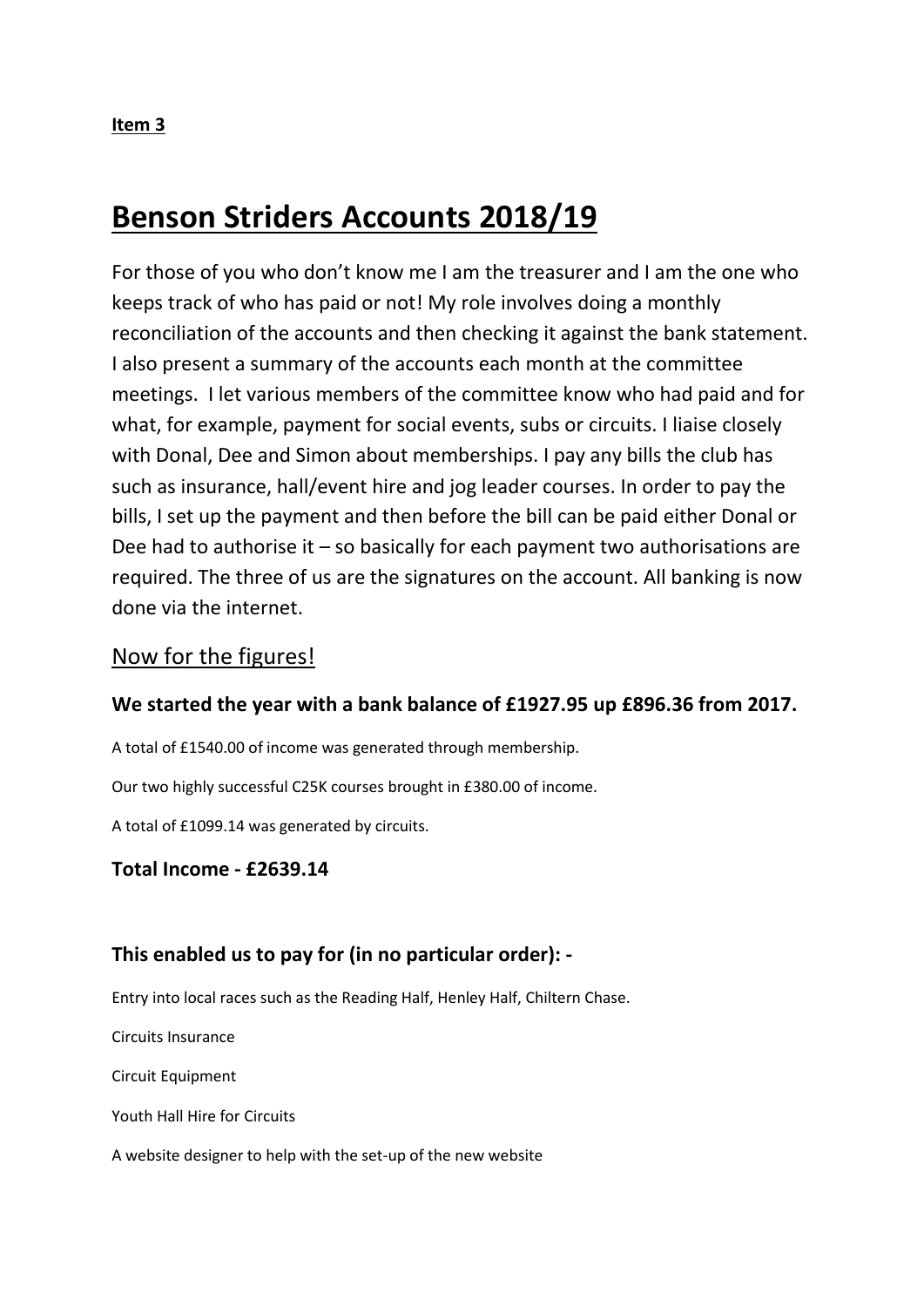# **Benson Striders Accounts 2018/19**

For those of you who don't know me I am the treasurer and I am the one who keeps track of who has paid or not! My role involves doing a monthly reconciliation of the accounts and then checking it against the bank statement. I also present a summary of the accounts each month at the committee meetings. I let various members of the committee know who had paid and for what, for example, payment for social events, subs or circuits. I liaise closely with Donal, Dee and Simon about memberships. I pay any bills the club has such as insurance, hall/event hire and jog leader courses. In order to pay the bills, I set up the payment and then before the bill can be paid either Donal or Dee had to authorise it – so basically for each payment two authorisations are required. The three of us are the signatures on the account. All banking is now done via the internet.

# Now for the figures!

### **We started the year with a bank balance of £1927.95 up £896.36 from 2017.**

A total of £1540.00 of income was generated through membership.

Our two highly successful C25K courses brought in £380.00 of income.

A total of £1099.14 was generated by circuits.

### **Total Income - £2639.14**

### **This enabled us to pay for (in no particular order): -**

Entry into local races such as the Reading Half, Henley Half, Chiltern Chase.

Circuits Insurance

Circuit Equipment

Youth Hall Hire for Circuits

A website designer to help with the set-up of the new website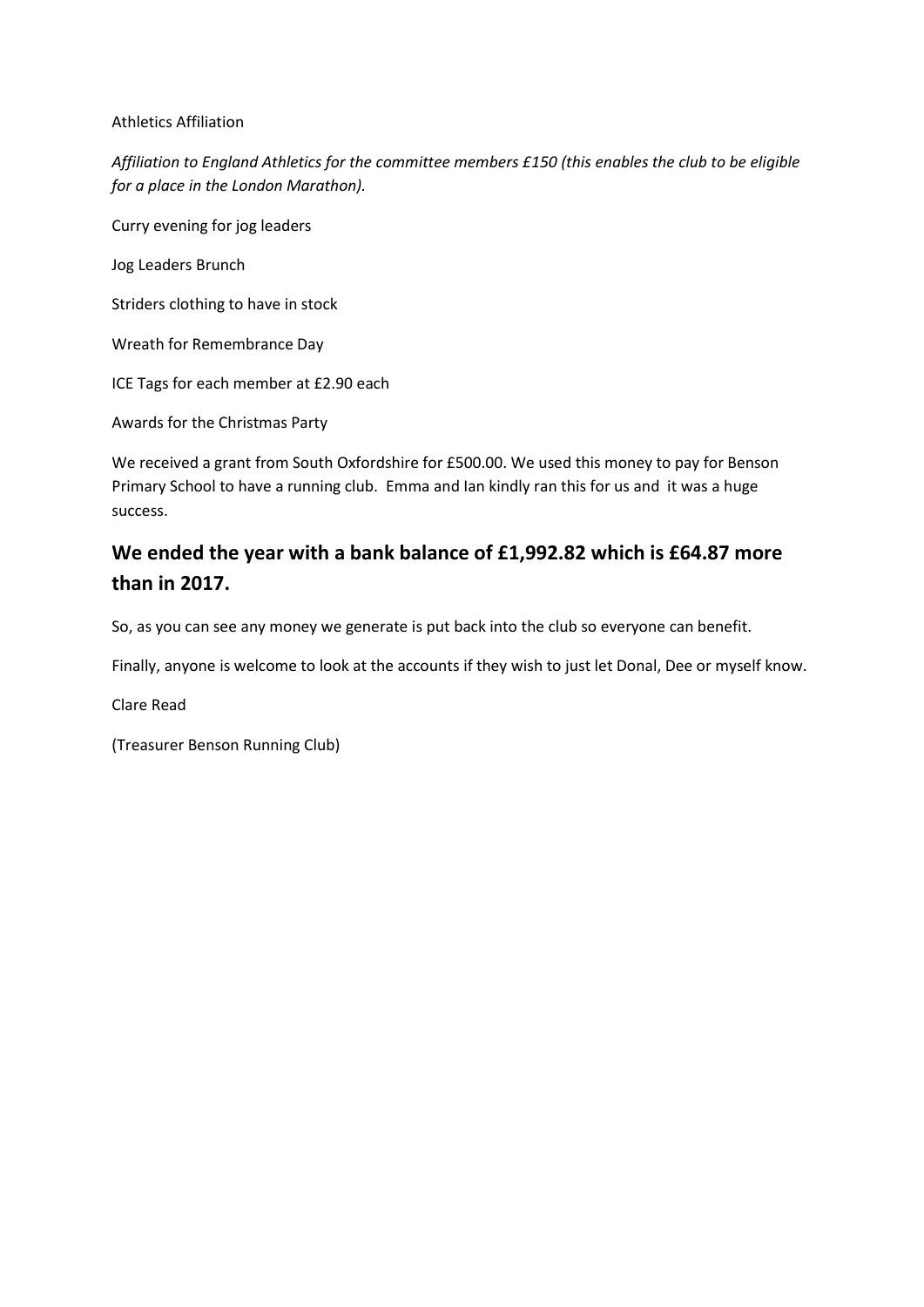#### Athletics Affiliation

*Affiliation to England Athletics for the committee members £150 (this enables the club to be eligible for a place in the London Marathon).*

Curry evening for jog leaders

Jog Leaders Brunch

Striders clothing to have in stock

Wreath for Remembrance Day

ICE Tags for each member at £2.90 each

Awards for the Christmas Party

We received a grant from South Oxfordshire for £500.00. We used this money to pay for Benson Primary School to have a running club. Emma and Ian kindly ran this for us and it was a huge success.

# **We ended the year with a bank balance of £1,992.82 which is £64.87 more than in 2017.**

So, as you can see any money we generate is put back into the club so everyone can benefit.

Finally, anyone is welcome to look at the accounts if they wish to just let Donal, Dee or myself know.

Clare Read

(Treasurer Benson Running Club)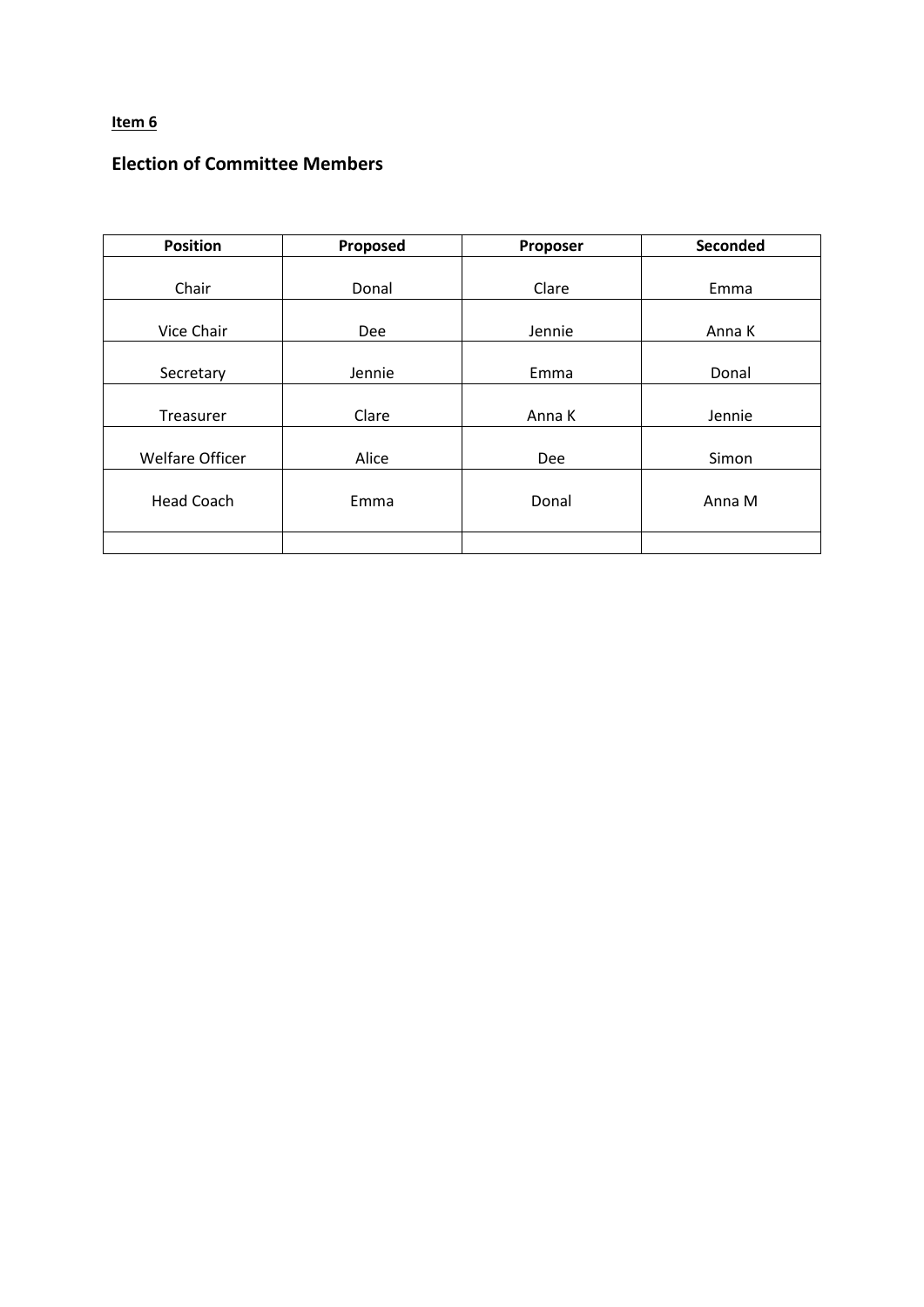# **Election of Committee Members**

| <b>Position</b>   | Proposed | Proposer | Seconded |
|-------------------|----------|----------|----------|
|                   |          |          |          |
| Chair             | Donal    | Clare    | Emma     |
|                   |          |          |          |
| Vice Chair        | Dee      | Jennie   | Anna K   |
|                   |          |          |          |
| Secretary         | Jennie   | Emma     | Donal    |
|                   |          |          |          |
| Treasurer         | Clare    | Anna K   | Jennie   |
|                   |          |          |          |
| Welfare Officer   | Alice    | Dee      | Simon    |
|                   |          |          |          |
| <b>Head Coach</b> | Emma     | Donal    | Anna M   |
|                   |          |          |          |
|                   |          |          |          |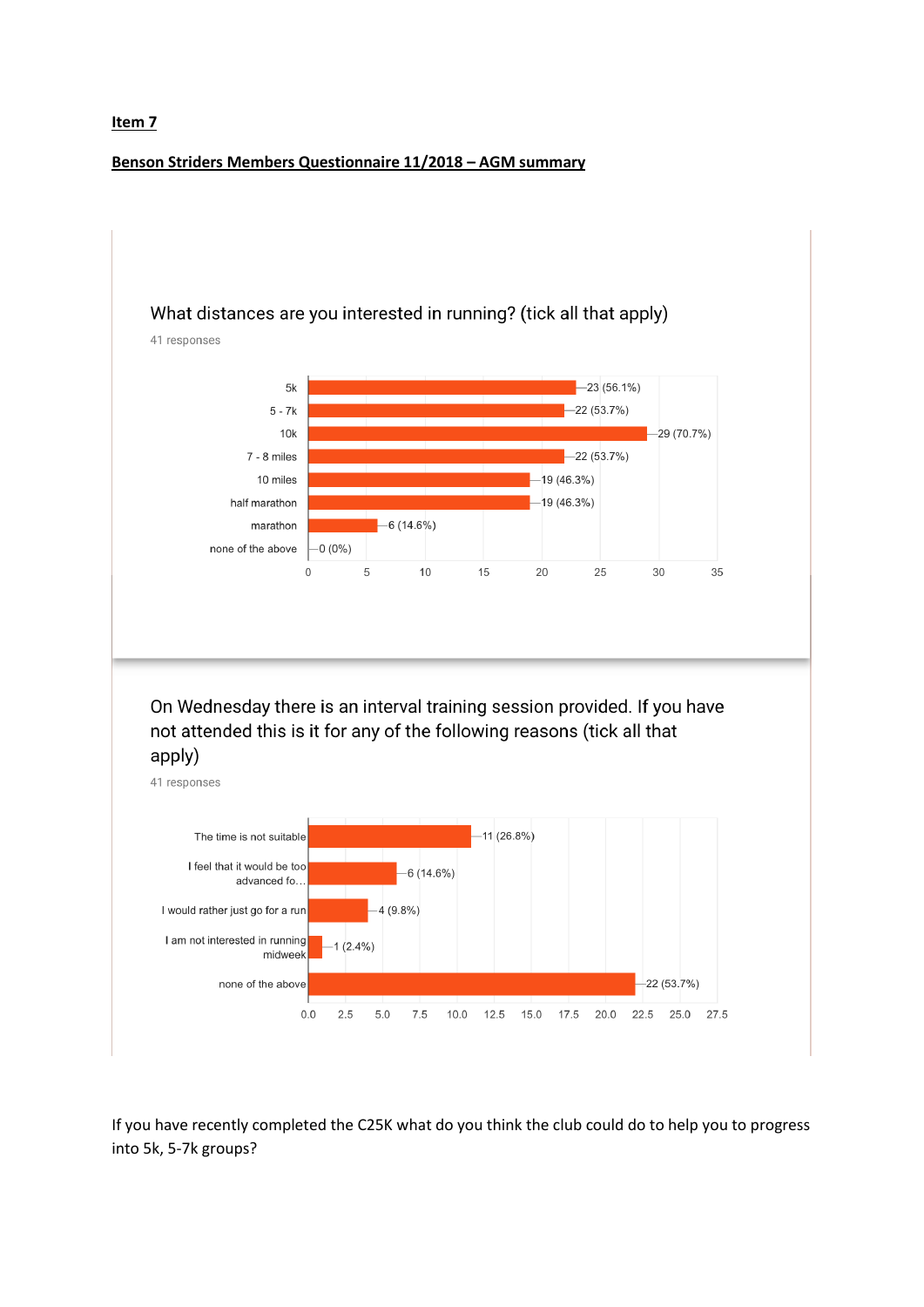#### **Benson Striders Members Questionnaire 11/2018 – AGM summary**



If you have recently completed the C25K what do you think the club could do to help you to progress into 5k, 5-7k groups?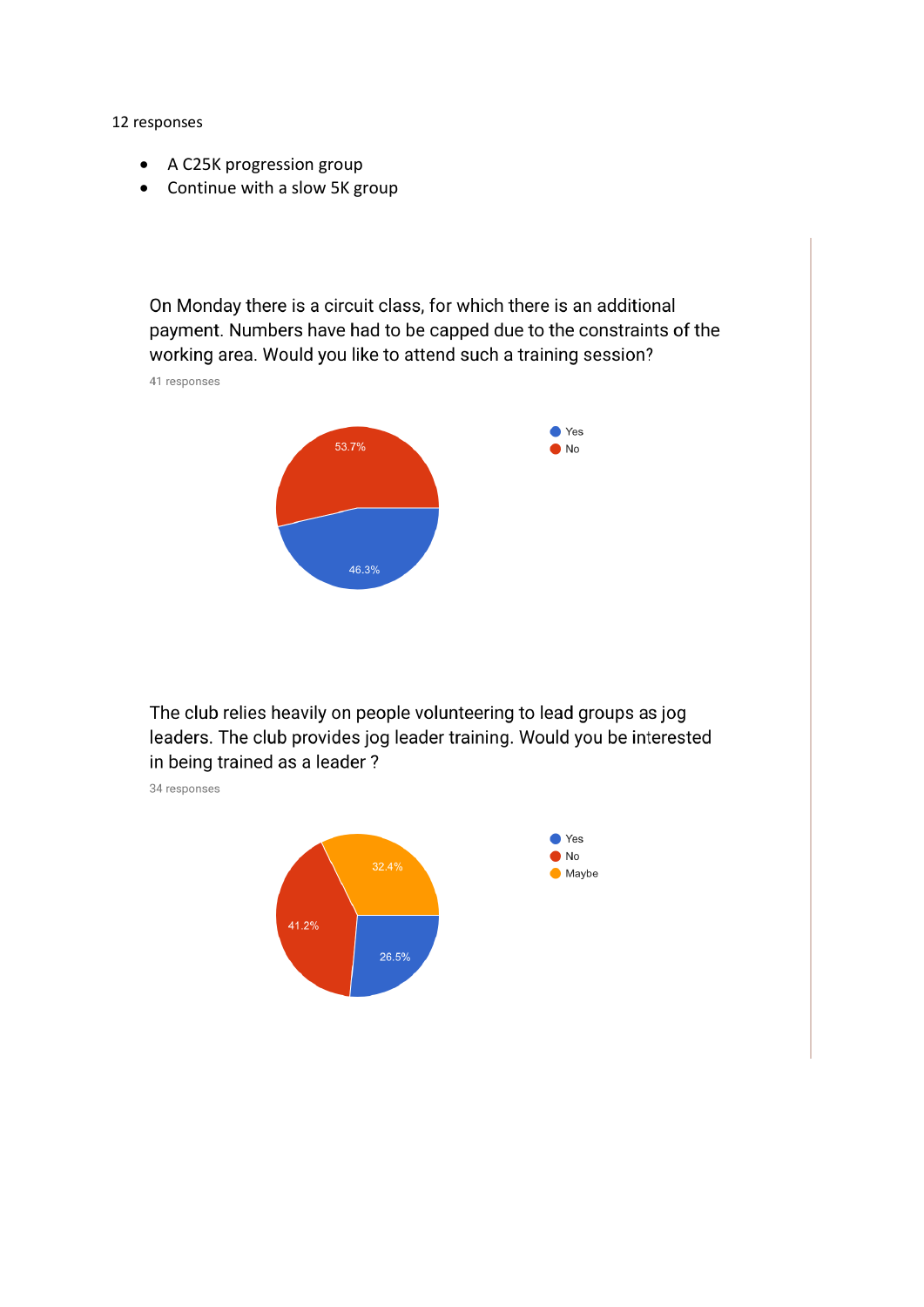12 responses

- A C25K progression group
- Continue with a slow 5K group

On Monday there is a circuit class, for which there is an additional payment. Numbers have had to be capped due to the constraints of the working area. Would you like to attend such a training session?

41 responses



The club relies heavily on people volunteering to lead groups as jog leaders. The club provides jog leader training. Would you be interested in being trained as a leader?

34 responses

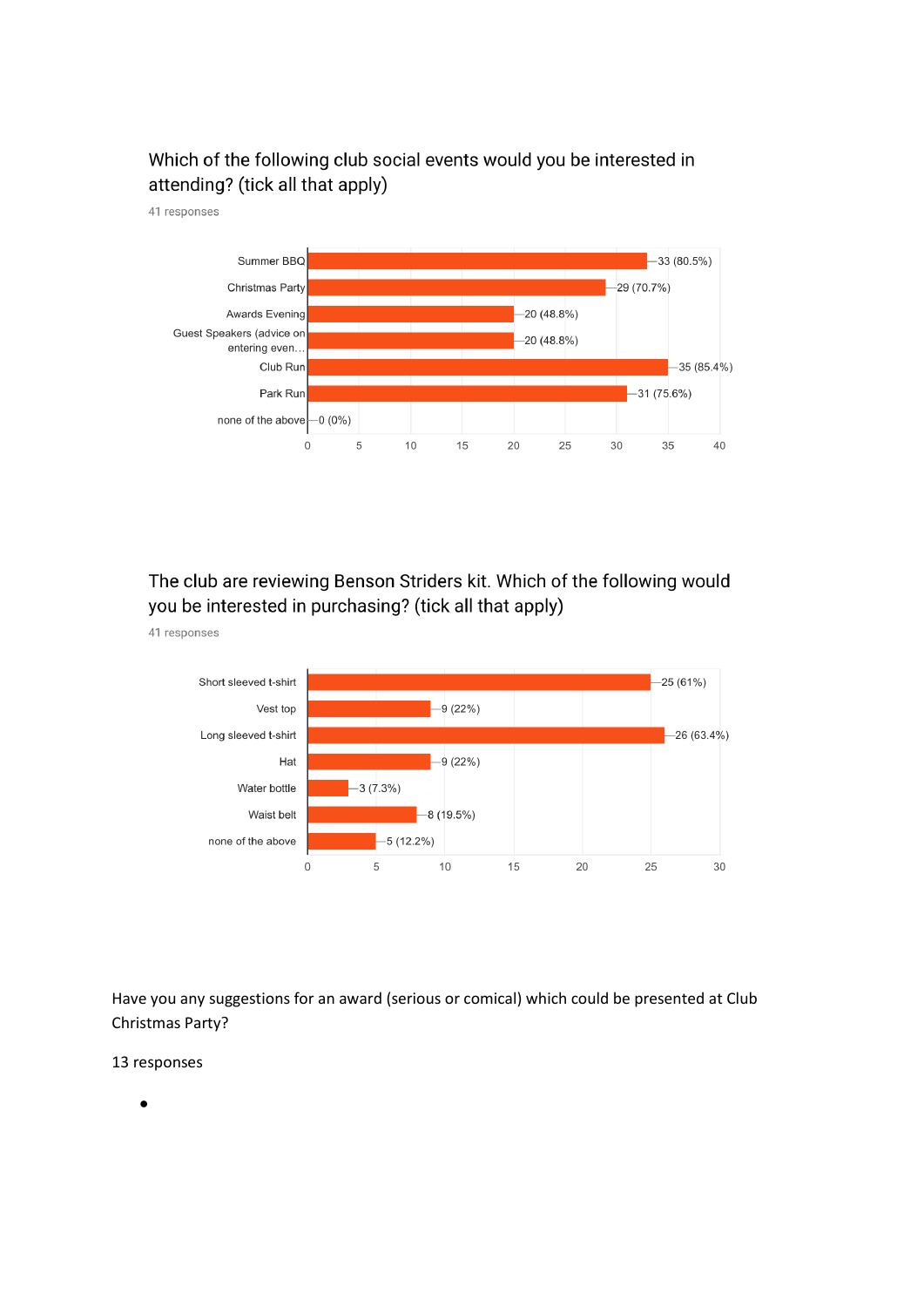# Which of the following club social events would you be interested in attending? (tick all that apply)



The club are reviewing Benson Striders kit. Which of the following would you be interested in purchasing? (tick all that apply)



Have you any suggestions for an award (serious or comical) which could be presented at Club Christmas Party?

13 responses

41 responses

41 responses

•